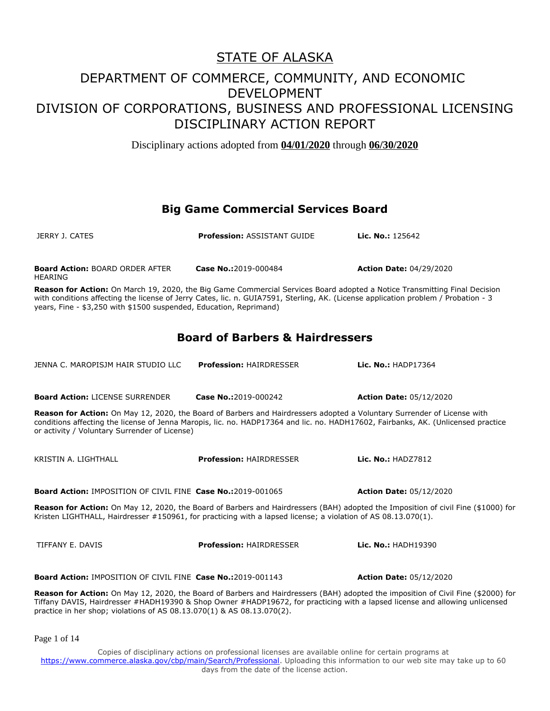Disciplinary actions adopted from **04/01/2020** through **06/30/2020**

#### **Big Game Commercial Services Board**

| JERRY J. CATES                                                                                                                                                                                                                                                                                                                             | <b>Profession: ASSISTANT GUIDE</b> | Lic. No.: 125642               |
|--------------------------------------------------------------------------------------------------------------------------------------------------------------------------------------------------------------------------------------------------------------------------------------------------------------------------------------------|------------------------------------|--------------------------------|
| <b>Board Action: BOARD ORDER AFTER</b><br><b>HEARING</b>                                                                                                                                                                                                                                                                                   | Case No.:2019-000484               | <b>Action Date: 04/29/2020</b> |
| Reason for Action: On March 19, 2020, the Big Game Commercial Services Board adopted a Notice Transmitting Final Decision<br>with conditions affecting the license of Jerry Cates, lic. n. GUIA7591, Sterling, AK. (License application problem / Probation - 3<br>years, Fine - \$3,250 with \$1500 suspended, Education, Reprimand)      |                                    |                                |
| <b>Board of Barbers &amp; Hairdressers</b>                                                                                                                                                                                                                                                                                                 |                                    |                                |
| JENNA C. MAROPISJM HAIR STUDIO LLC                                                                                                                                                                                                                                                                                                         | <b>Profession: HAIRDRESSER</b>     | Lic. No.: HADP17364            |
| <b>Board Action: LICENSE SURRENDER</b>                                                                                                                                                                                                                                                                                                     | Case No.:2019-000242               | <b>Action Date: 05/12/2020</b> |
| Reason for Action: On May 12, 2020, the Board of Barbers and Hairdressers adopted a Voluntary Surrender of License with<br>conditions affecting the license of Jenna Maropis, lic. no. HADP17364 and lic. no. HADH17602, Fairbanks, AK. (Unlicensed practice<br>or activity / Voluntary Surrender of License)                              |                                    |                                |
| KRISTIN A. LIGHTHALL                                                                                                                                                                                                                                                                                                                       | <b>Profession: HAIRDRESSER</b>     | Lic. No.: HADZ7812             |
| <b>Board Action: IMPOSITION OF CIVIL FINE Case No.:2019-001065</b>                                                                                                                                                                                                                                                                         |                                    | <b>Action Date: 05/12/2020</b> |
| Reason for Action: On May 12, 2020, the Board of Barbers and Hairdressers (BAH) adopted the Imposition of civil Fine (\$1000) for<br>Kristen LIGHTHALL, Hairdresser #150961, for practicing with a lapsed license; a violation of AS 08.13.070(1).                                                                                         |                                    |                                |
| TIFFANY E. DAVIS                                                                                                                                                                                                                                                                                                                           | <b>Profession: HAIRDRESSER</b>     | Lic. No.: HADH19390            |
| Board Action: IMPOSITION OF CIVIL FINE Case No.:2019-001143                                                                                                                                                                                                                                                                                |                                    | <b>Action Date: 05/12/2020</b> |
| Reason for Action: On May 12, 2020, the Board of Barbers and Hairdressers (BAH) adopted the imposition of Civil Fine (\$2000) for<br>Tiffany DAVIS, Hairdresser #HADH19390 & Shop Owner #HADP19672, for practicing with a lapsed license and allowing unlicensed<br>practice in her shop; violations of AS 08.13.070(1) & AS 08.13.070(2). |                                    |                                |

Page 1 of 14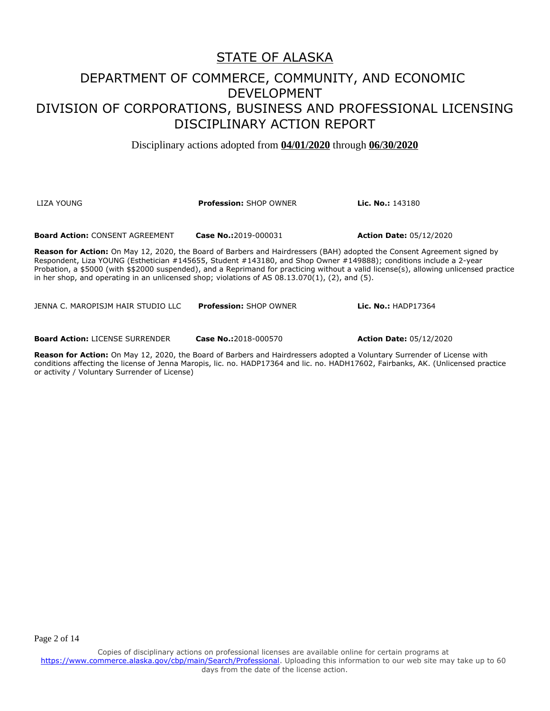Disciplinary actions adopted from **04/01/2020** through **06/30/2020**

| LIZA YOUNG                                                                                                                                                                                                                                                                                                                                                                                                                                                                                          | <b>Profession: SHOP OWNER</b> | <b>Lic. No.:</b> $143180$      |
|-----------------------------------------------------------------------------------------------------------------------------------------------------------------------------------------------------------------------------------------------------------------------------------------------------------------------------------------------------------------------------------------------------------------------------------------------------------------------------------------------------|-------------------------------|--------------------------------|
| <b>Board Action: CONSENT AGREEMENT</b>                                                                                                                                                                                                                                                                                                                                                                                                                                                              | Case No.: 2019-000031         | <b>Action Date: 05/12/2020</b> |
| <b>Reason for Action:</b> On May 12, 2020, the Board of Barbers and Hairdressers (BAH) adopted the Consent Agreement signed by<br>Respondent, Liza YOUNG (Esthetician #145655, Student #143180, and Shop Owner #149888); conditions include a 2-year<br>Probation, a \$5000 (with \$\$2000 suspended), and a Reprimand for practicing without a valid license(s), allowing unlicensed practice<br>in her shop, and operating in an unlicensed shop; violations of AS $08.13.070(1)$ , (2), and (5). |                               |                                |
| JENNA C. MAROPISJM HAIR STUDIO LLC                                                                                                                                                                                                                                                                                                                                                                                                                                                                  | <b>Profession: SHOP OWNER</b> | Lic. No.: $HADP17364$          |

**Board Action:** LICENSE SURRENDER **Case No.:**2018-000570 **Action Date:** 05/12/2020

**Reason for Action:** On May 12, 2020, the Board of Barbers and Hairdressers adopted a Voluntary Surrender of License with conditions affecting the license of Jenna Maropis, lic. no. HADP17364 and lic. no. HADH17602, Fairbanks, AK. (Unlicensed practice or activity / Voluntary Surrender of License)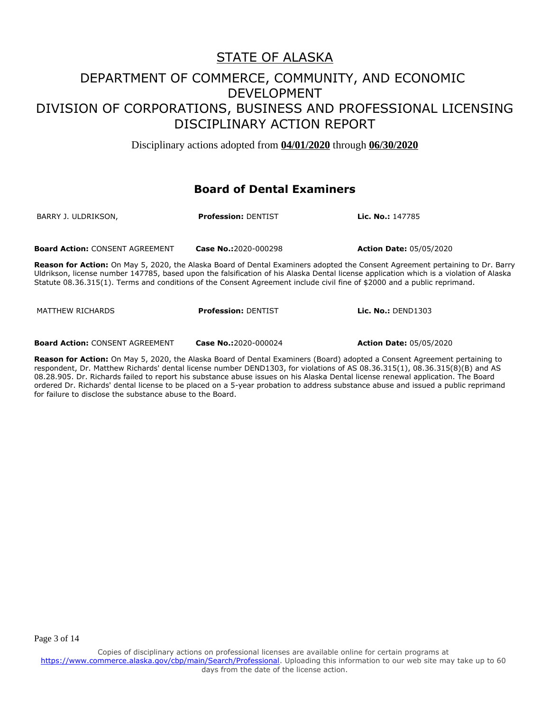Disciplinary actions adopted from **04/01/2020** through **06/30/2020**

#### **Board of Dental Examiners**

| BARRY J. ULDRIKSON,                    | <b>Profession: DENTIST</b> | <b>Lic. No.: 147785</b>        |
|----------------------------------------|----------------------------|--------------------------------|
| <b>Board Action: CONSENT AGREEMENT</b> | Case No.:2020-000298       | <b>Action Date: 05/05/2020</b> |

**Reason for Action:** On May 5, 2020, the Alaska Board of Dental Examiners adopted the Consent Agreement pertaining to Dr. Barry Uldrikson, license number 147785, based upon the falsification of his Alaska Dental license application which is a violation of Alaska Statute 08.36.315(1). Terms and conditions of the Consent Agreement include civil fine of \$2000 and a public reprimand.

MATTHEW RICHARDS **Profession:** DENTIST **Lic. No.:** DEND1303 **Board Action:** CONSENT AGREEMENT **Case No.:**2020-000024 **Action Date:** 05/05/2020

**Reason for Action:** On May 5, 2020, the Alaska Board of Dental Examiners (Board) adopted a Consent Agreement pertaining to respondent, Dr. Matthew Richards' dental license number DEND1303, for violations of AS 08.36.315(1), 08.36.315(8)(B) and AS 08.28.905. Dr. Richards failed to report his substance abuse issues on his Alaska Dental license renewal application. The Board ordered Dr. Richards' dental license to be placed on a 5-year probation to address substance abuse and issued a public reprimand for failure to disclose the substance abuse to the Board.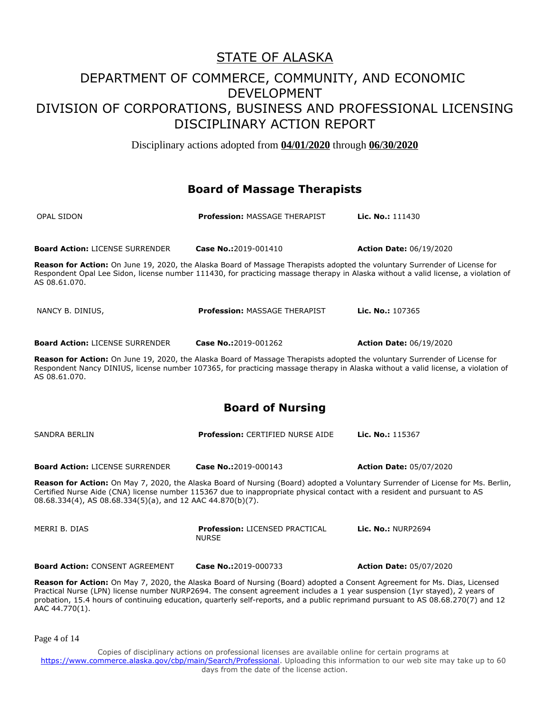Disciplinary actions adopted from **04/01/2020** through **06/30/2020**

#### **Board of Massage Therapists**

| OPAL SIDON                             | <b>Profession: MASSAGE THERAPIST</b>                                                                                              | Lic. No.: 111430                                                                                                                   |
|----------------------------------------|-----------------------------------------------------------------------------------------------------------------------------------|------------------------------------------------------------------------------------------------------------------------------------|
| <b>Board Action: LICENSE SURRENDER</b> | Case No.:2019-001410                                                                                                              | <b>Action Date: 06/19/2020</b>                                                                                                     |
| AS 08.61.070.                          | <b>Reason for Action:</b> On June 19, 2020, the Alaska Board of Massage Therapists adopted the voluntary Surrender of License for | Respondent Opal Lee Sidon, license number 111430, for practicing massage therapy in Alaska without a valid license, a violation of |
| NANCY B. DINIUS.                       | <b>Profession: MASSAGE THERAPIST</b>                                                                                              | Lic. No.: 107365                                                                                                                   |
| <b>Board Action: LICENSE SURRENDER</b> | Case No.:2019-001262                                                                                                              | <b>Action Date: 06/19/2020</b>                                                                                                     |
|                                        |                                                                                                                                   |                                                                                                                                    |

**Reason for Action:** On June 19, 2020, the Alaska Board of Massage Therapists adopted the voluntary Surrender of License for Respondent Nancy DINIUS, license number 107365, for practicing massage therapy in Alaska without a valid license, a violation of AS 08.61.070.

#### **Board of Nursing**

| SANDRA BERLIN                                              | <b>Profession: CERTIFIED NURSE AIDE</b>                                                                                   | Lic. No.: $115367$                                                                                                              |
|------------------------------------------------------------|---------------------------------------------------------------------------------------------------------------------------|---------------------------------------------------------------------------------------------------------------------------------|
| <b>Board Action: LICENSE SURRENDER</b>                     | Case No.:2019-000143                                                                                                      | <b>Action Date: 05/07/2020</b>                                                                                                  |
| 08.68.334(4), AS 08.68.334(5)(a), and 12 AAC 44.870(b)(7). | Certified Nurse Aide (CNA) license number 115367 due to inappropriate physical contact with a resident and pursuant to AS | Reason for Action: On May 7, 2020, the Alaska Board of Nursing (Board) adopted a Voluntary Surrender of License for Ms. Berlin, |
| MERRI B. DIAS                                              | <b>Profession: LICENSED PRACTICAL</b><br><b>NURSE</b>                                                                     | Lic. No.: NURP2694                                                                                                              |
| <b>Board Action: CONSENT AGREEMENT</b>                     | Case No.:2019-000733                                                                                                      | <b>Action Date: 05/07/2020</b>                                                                                                  |

**Reason for Action:** On May 7, 2020, the Alaska Board of Nursing (Board) adopted a Consent Agreement for Ms. Dias, Licensed Practical Nurse (LPN) license number NURP2694. The consent agreement includes a 1 year suspension (1yr stayed), 2 years of probation, 15.4 hours of continuing education, quarterly self-reports, and a public reprimand pursuant to AS 08.68.270(7) and 12 AAC 44.770(1).

Page 4 of 14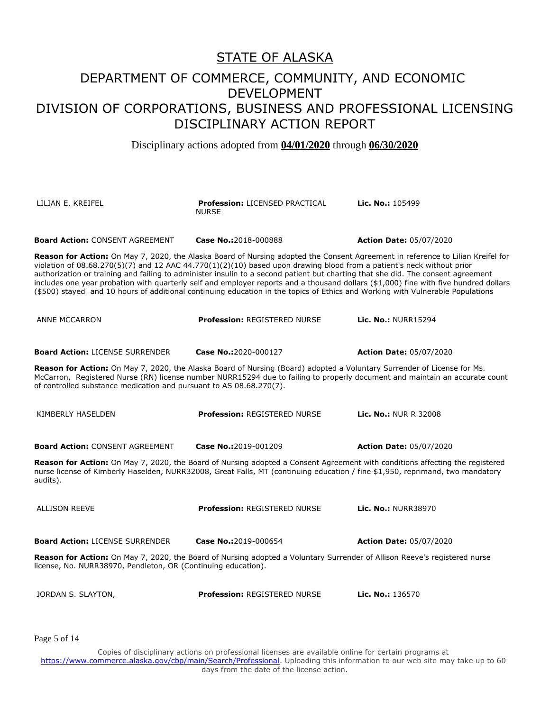Disciplinary actions adopted from **04/01/2020** through **06/30/2020**

| LILIAN E. KREIFEL                                                                                                                                                                                                                                                                                                                                                                                                                                                                                                                                                                                                                                                               | <b>Profession: LICENSED PRACTICAL</b><br><b>NURSE</b> | Lic. No.: 105499               |
|---------------------------------------------------------------------------------------------------------------------------------------------------------------------------------------------------------------------------------------------------------------------------------------------------------------------------------------------------------------------------------------------------------------------------------------------------------------------------------------------------------------------------------------------------------------------------------------------------------------------------------------------------------------------------------|-------------------------------------------------------|--------------------------------|
| <b>Board Action: CONSENT AGREEMENT</b>                                                                                                                                                                                                                                                                                                                                                                                                                                                                                                                                                                                                                                          | Case No.:2018-000888                                  | <b>Action Date: 05/07/2020</b> |
| <b>Reason for Action:</b> On May 7, 2020, the Alaska Board of Nursing adopted the Consent Agreement in reference to Lilian Kreifel for<br>violation of $08.68.270(5)(7)$ and 12 AAC 44.770(1)(2)(10) based upon drawing blood from a patient's neck without prior<br>authorization or training and failing to administer insulin to a second patient but charting that she did. The consent agreement<br>includes one year probation with quarterly self and employer reports and a thousand dollars (\$1,000) fine with five hundred dollars<br>(\$500) stayed and 10 hours of additional continuing education in the topics of Ethics and Working with Vulnerable Populations |                                                       |                                |
| <b>ANNE MCCARRON</b>                                                                                                                                                                                                                                                                                                                                                                                                                                                                                                                                                                                                                                                            | <b>Profession: REGISTERED NURSE</b>                   | <b>Lic. No.: NURR15294</b>     |
| <b>Board Action: LICENSE SURRENDER</b>                                                                                                                                                                                                                                                                                                                                                                                                                                                                                                                                                                                                                                          | Case No.:2020-000127                                  | <b>Action Date: 05/07/2020</b> |
| <b>Reason for Action:</b> On May 7, 2020, the Alaska Board of Nursing (Board) adopted a Voluntary Surrender of License for Ms.<br>McCarron, Registered Nurse (RN) license number NURR15294 due to failing to properly document and maintain an accurate count<br>of controlled substance medication and pursuant to AS 08.68.270(7).                                                                                                                                                                                                                                                                                                                                            |                                                       |                                |
| KIMBERLY HASELDEN                                                                                                                                                                                                                                                                                                                                                                                                                                                                                                                                                                                                                                                               | <b>Profession: REGISTERED NURSE</b>                   | <b>Lic. No.: NUR R 32008</b>   |
| <b>Board Action: CONSENT AGREEMENT</b>                                                                                                                                                                                                                                                                                                                                                                                                                                                                                                                                                                                                                                          | Case No.:2019-001209                                  | <b>Action Date: 05/07/2020</b> |
| Reason for Action: On May 7, 2020, the Board of Nursing adopted a Consent Agreement with conditions affecting the registered<br>nurse license of Kimberly Haselden, NURR32008, Great Falls, MT (continuing education / fine \$1,950, reprimand, two mandatory<br>audits).                                                                                                                                                                                                                                                                                                                                                                                                       |                                                       |                                |
| <b>ALLISON REEVE</b>                                                                                                                                                                                                                                                                                                                                                                                                                                                                                                                                                                                                                                                            | <b>Profession: REGISTERED NURSE</b>                   | Lic. No.: NURR38970            |
| <b>Board Action: LICENSE SURRENDER</b>                                                                                                                                                                                                                                                                                                                                                                                                                                                                                                                                                                                                                                          | Case No.:2019-000654                                  | <b>Action Date: 05/07/2020</b> |
| Reason for Action: On May 7, 2020, the Board of Nursing adopted a Voluntary Surrender of Allison Reeve's registered nurse<br>license, No. NURR38970, Pendleton, OR (Continuing education).                                                                                                                                                                                                                                                                                                                                                                                                                                                                                      |                                                       |                                |
| JORDAN S. SLAYTON,                                                                                                                                                                                                                                                                                                                                                                                                                                                                                                                                                                                                                                                              | <b>Profession: REGISTERED NURSE</b>                   | Lic. No.: 136570               |

Page 5 of 14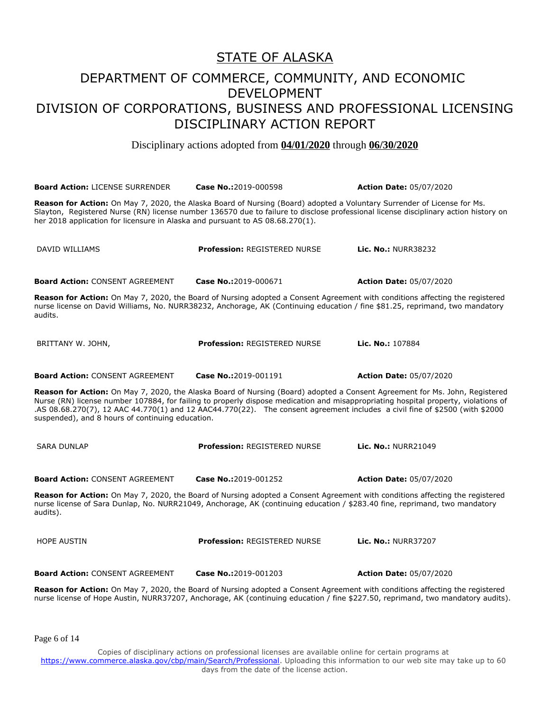Disciplinary actions adopted from **04/01/2020** through **06/30/2020**

| <b>Board Action: LICENSE SURRENDER</b>                                                                                                                                                                                                                                                                                                                                                                                                               | Case No.:2019-000598                | <b>Action Date: 05/07/2020</b> |
|------------------------------------------------------------------------------------------------------------------------------------------------------------------------------------------------------------------------------------------------------------------------------------------------------------------------------------------------------------------------------------------------------------------------------------------------------|-------------------------------------|--------------------------------|
| Reason for Action: On May 7, 2020, the Alaska Board of Nursing (Board) adopted a Voluntary Surrender of License for Ms.<br>Slayton, Registered Nurse (RN) license number 136570 due to failure to disclose professional license disciplinary action history on<br>her 2018 application for licensure in Alaska and pursuant to AS 08.68.270(1).                                                                                                      |                                     |                                |
| DAVID WILLIAMS                                                                                                                                                                                                                                                                                                                                                                                                                                       | <b>Profession: REGISTERED NURSE</b> | <b>Lic. No.: NURR38232</b>     |
| <b>Board Action: CONSENT AGREEMENT</b>                                                                                                                                                                                                                                                                                                                                                                                                               | Case No.:2019-000671                | <b>Action Date: 05/07/2020</b> |
| Reason for Action: On May 7, 2020, the Board of Nursing adopted a Consent Agreement with conditions affecting the registered<br>nurse license on David Williams, No. NURR38232, Anchorage, AK (Continuing education / fine \$81.25, reprimand, two mandatory<br>audits.                                                                                                                                                                              |                                     |                                |
| BRITTANY W. JOHN,                                                                                                                                                                                                                                                                                                                                                                                                                                    | <b>Profession: REGISTERED NURSE</b> | Lic. No.: 107884               |
| <b>Board Action: CONSENT AGREEMENT</b>                                                                                                                                                                                                                                                                                                                                                                                                               | Case No.:2019-001191                | <b>Action Date: 05/07/2020</b> |
| Reason for Action: On May 7, 2020, the Alaska Board of Nursing (Board) adopted a Consent Agreement for Ms. John, Registered<br>Nurse (RN) license number 107884, for failing to properly dispose medication and misappropriating hospital property, violations of<br>.AS 08.68.270(7), 12 AAC 44.770(1) and 12 AAC44.770(22). The consent agreement includes a civil fine of \$2500 (with \$2000<br>suspended), and 8 hours of continuing education. |                                     |                                |
| <b>SARA DUNLAP</b>                                                                                                                                                                                                                                                                                                                                                                                                                                   | <b>Profession: REGISTERED NURSE</b> | Lic. No.: NURR21049            |
| <b>Board Action: CONSENT AGREEMENT</b>                                                                                                                                                                                                                                                                                                                                                                                                               | Case No.:2019-001252                | <b>Action Date: 05/07/2020</b> |
| Reason for Action: On May 7, 2020, the Board of Nursing adopted a Consent Agreement with conditions affecting the registered<br>nurse license of Sara Dunlap, No. NURR21049, Anchorage, AK (continuing education / \$283.40 fine, reprimand, two mandatory<br>audits).                                                                                                                                                                               |                                     |                                |
| <b>HOPE AUSTIN</b>                                                                                                                                                                                                                                                                                                                                                                                                                                   | <b>Profession: REGISTERED NURSE</b> | <b>Lic. No.: NURR37207</b>     |
| <b>Board Action: CONSENT AGREEMENT</b>                                                                                                                                                                                                                                                                                                                                                                                                               | Case No.:2019-001203                | <b>Action Date: 05/07/2020</b> |
| Reason for Action: On May 7, 2020, the Board of Nursing adopted a Consent Agreement with conditions affecting the registered<br>nurse license of Hope Austin, NURR37207, Anchorage, AK (continuing education / fine \$227.50, reprimand, two mandatory audits).                                                                                                                                                                                      |                                     |                                |

Page 6 of 14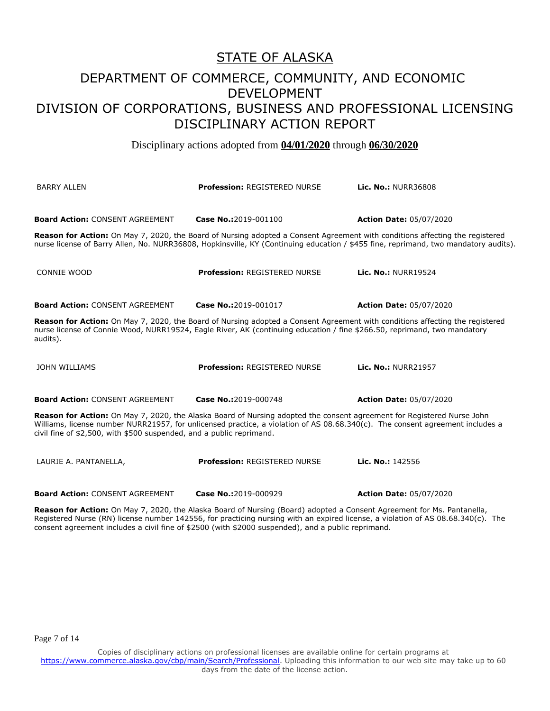Disciplinary actions adopted from **04/01/2020** through **06/30/2020**

| <b>BARRY ALLEN</b>                                                   | <b>Profession: REGISTERED NURSE</b>                                                                                                                                                                                                                             | <b>Lic. No.: NURR36808</b>                                                                                                          |
|----------------------------------------------------------------------|-----------------------------------------------------------------------------------------------------------------------------------------------------------------------------------------------------------------------------------------------------------------|-------------------------------------------------------------------------------------------------------------------------------------|
| <b>Board Action: CONSENT AGREEMENT</b>                               | Case No.:2019-001100                                                                                                                                                                                                                                            | <b>Action Date: 05/07/2020</b>                                                                                                      |
|                                                                      | Reason for Action: On May 7, 2020, the Board of Nursing adopted a Consent Agreement with conditions affecting the registered                                                                                                                                    | nurse license of Barry Allen, No. NURR36808, Hopkinsville, KY (Continuing education / \$455 fine, reprimand, two mandatory audits). |
| <b>CONNIE WOOD</b>                                                   | <b>Profession: REGISTERED NURSE</b>                                                                                                                                                                                                                             | Lic. No.: NURR19524                                                                                                                 |
| <b>Board Action: CONSENT AGREEMENT</b>                               | Case No.:2019-001017                                                                                                                                                                                                                                            | <b>Action Date: 05/07/2020</b>                                                                                                      |
| audits).                                                             | <b>Reason for Action:</b> On May 7, 2020, the Board of Nursing adopted a Consent Agreement with conditions affecting the registered<br>nurse license of Connie Wood, NURR19524, Eagle River, AK (continuing education / fine \$266.50, reprimand, two mandatory |                                                                                                                                     |
| <b>JOHN WILLIAMS</b>                                                 | <b>Profession: REGISTERED NURSE</b>                                                                                                                                                                                                                             | Lic. No.: NURR21957                                                                                                                 |
| <b>Board Action: CONSENT AGREEMENT</b>                               | Case No.:2019-000748                                                                                                                                                                                                                                            | <b>Action Date: 05/07/2020</b>                                                                                                      |
| civil fine of \$2,500, with \$500 suspended, and a public reprimand. | <b>Reason for Action:</b> On May 7, 2020, the Alaska Board of Nursing adopted the consent agreement for Registered Nurse John<br>Williams, license number NURR21957, for unlicensed practice, a violation of AS 08.68.340(c). The consent agreement includes a  |                                                                                                                                     |
| LAURIE A. PANTANELLA,                                                | <b>Profession: REGISTERED NURSE</b>                                                                                                                                                                                                                             | Lic. No.: 142556                                                                                                                    |
| <b>Board Action: CONSENT AGREEMENT</b>                               | Case No.:2019-000929                                                                                                                                                                                                                                            | <b>Action Date: 05/07/2020</b>                                                                                                      |

**Reason for Action:** On May 7, 2020, the Alaska Board of Nursing (Board) adopted a Consent Agreement for Ms. Pantanella, Registered Nurse (RN) license number 142556, for practicing nursing with an expired license, a violation of AS 08.68.340(c). The consent agreement includes a civil fine of \$2500 (with \$2000 suspended), and a public reprimand.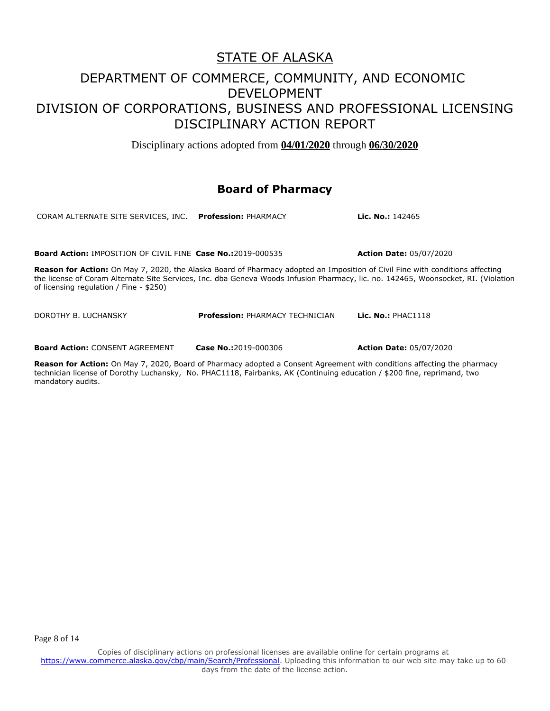Disciplinary actions adopted from **04/01/2020** through **06/30/2020**

#### **Board of Pharmacy**

CORAM ALTERNATE SITE SERVICES, INC. **Profession:** PHARMACY **Lic. No.:** 142465 **Board Action:** IMPOSITION OF CIVIL FINE **Case No.:**2019-000535 **Action Date:** 05/07/2020 **Reason for Action:** On May 7, 2020, the Alaska Board of Pharmacy adopted an Imposition of Civil Fine with conditions affecting the license of Coram Alternate Site Services, Inc. dba Geneva Woods Infusion Pharmacy, lic. no. 142465, Woonsocket, RI. (Violation of licensing regulation / Fine - \$250) DOROTHY B. LUCHANSKY **Profession:** PHARMACY TECHNICIAN **Lic. No.:** PHAC1118

**Board Action:** CONSENT AGREEMENT **Case No.:**2019-000306 **Action Date:** 05/07/2020

**Reason for Action:** On May 7, 2020, Board of Pharmacy adopted a Consent Agreement with conditions affecting the pharmacy technician license of Dorothy Luchansky, No. PHAC1118, Fairbanks, AK (Continuing education / \$200 fine, reprimand, two mandatory audits.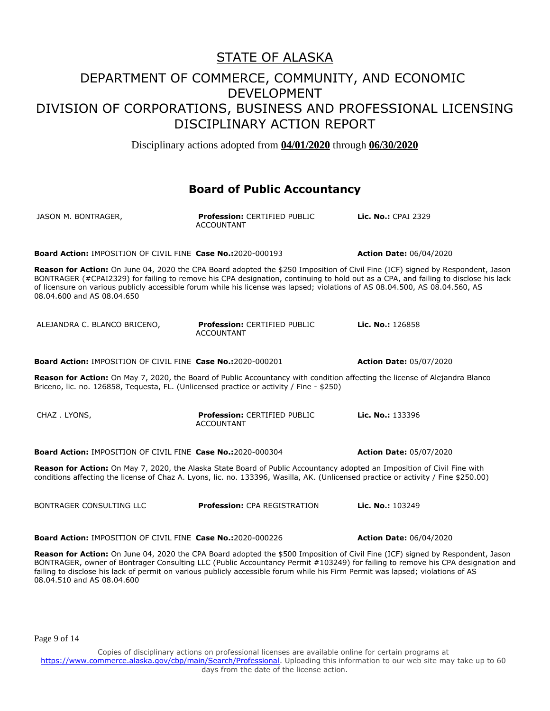Disciplinary actions adopted from **04/01/2020** through **06/30/2020**

#### **Board of Public Accountancy**

| JASON M. BONTRAGER,                                                                                                                                                                                                                                                                          | <b>Profession: CERTIFIED PUBLIC</b><br><b>ACCOUNTANT</b> | Lic. No.: CPAI 2329                                                                                                                                                                                                                                              |
|----------------------------------------------------------------------------------------------------------------------------------------------------------------------------------------------------------------------------------------------------------------------------------------------|----------------------------------------------------------|------------------------------------------------------------------------------------------------------------------------------------------------------------------------------------------------------------------------------------------------------------------|
| <b>Board Action: IMPOSITION OF CIVIL FINE Case No.:2020-000193</b>                                                                                                                                                                                                                           |                                                          | <b>Action Date: 06/04/2020</b>                                                                                                                                                                                                                                   |
| Reason for Action: On June 04, 2020 the CPA Board adopted the \$250 Imposition of Civil Fine (ICF) signed by Respondent, Jason<br>of licensure on various publicly accessible forum while his license was lapsed; violations of AS 08.04.500, AS 08.04.560, AS<br>08.04.600 and AS 08.04.650 |                                                          | BONTRAGER (#CPAI2329) for failing to remove his CPA designation, continuing to hold out as a CPA, and failing to disclose his lack                                                                                                                               |
| ALEJANDRA C. BLANCO BRICENO,                                                                                                                                                                                                                                                                 | <b>Profession: CERTIFIED PUBLIC</b><br><b>ACCOUNTANT</b> | Lic. No.: 126858                                                                                                                                                                                                                                                 |
| Board Action: IMPOSITION OF CIVIL FINE Case No.:2020-000201                                                                                                                                                                                                                                  |                                                          | <b>Action Date: 05/07/2020</b>                                                                                                                                                                                                                                   |
| Reason for Action: On May 7, 2020, the Board of Public Accountancy with condition affecting the license of Alejandra Blanco<br>Briceno, lic. no. 126858, Tequesta, FL. (Unlicensed practice or activity / Fine - \$250)                                                                      |                                                          |                                                                                                                                                                                                                                                                  |
| CHAZ.LYONS,                                                                                                                                                                                                                                                                                  | <b>Profession: CERTIFIED PUBLIC</b><br><b>ACCOUNTANT</b> | Lic. No.: 133396                                                                                                                                                                                                                                                 |
| <b>Board Action: IMPOSITION OF CIVIL FINE Case No.:2020-000304</b>                                                                                                                                                                                                                           |                                                          | <b>Action Date: 05/07/2020</b>                                                                                                                                                                                                                                   |
| Reason for Action: On May 7, 2020, the Alaska State Board of Public Accountancy adopted an Imposition of Civil Fine with<br>conditions affecting the license of Chaz A. Lyons, lic. no. 133396, Wasilla, AK. (Unlicensed practice or activity / Fine \$250.00)                               |                                                          |                                                                                                                                                                                                                                                                  |
| BONTRAGER CONSULTING LLC                                                                                                                                                                                                                                                                     | <b>Profession: CPA REGISTRATION</b>                      | Lic. No.: 103249                                                                                                                                                                                                                                                 |
| Board Action: IMPOSITION OF CIVIL FINE Case No.:2020-000226                                                                                                                                                                                                                                  |                                                          | <b>Action Date: 06/04/2020</b>                                                                                                                                                                                                                                   |
| failing to disclose his lack of permit on various publicly accessible forum while his Firm Permit was lapsed; violations of AS                                                                                                                                                               |                                                          | Reason for Action: On June 04, 2020 the CPA Board adopted the \$500 Imposition of Civil Fine (ICF) signed by Respondent, Jason<br>BONTRAGER, owner of Bontrager Consulting LLC (Public Accountancy Permit #103249) for failing to remove his CPA designation and |

Page 9 of 14

08.04.510 and AS 08.04.600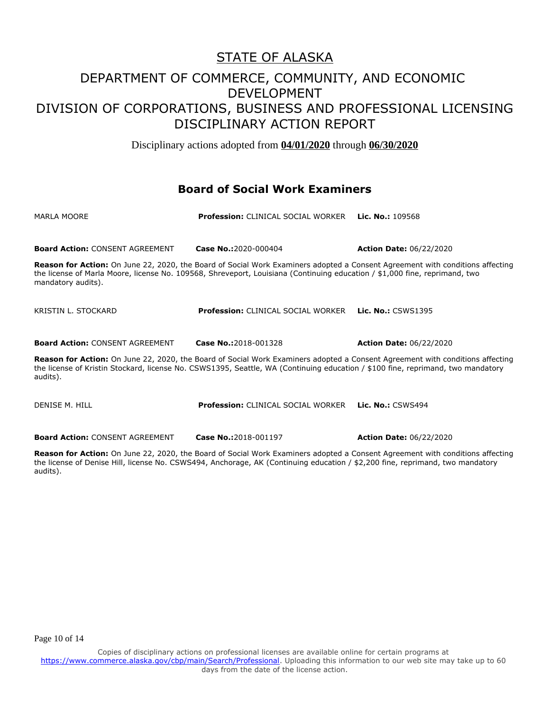Disciplinary actions adopted from **04/01/2020** through **06/30/2020**

#### **Board of Social Work Examiners**

| MARLA MOORE                                                                                                                                                                                                                                                                         | <b>Profession: CLINICAL SOCIAL WORKER</b> | <b>Lic. No.: 109568</b>                                                                                                              |
|-------------------------------------------------------------------------------------------------------------------------------------------------------------------------------------------------------------------------------------------------------------------------------------|-------------------------------------------|--------------------------------------------------------------------------------------------------------------------------------------|
| <b>Board Action: CONSENT AGREEMENT</b>                                                                                                                                                                                                                                              | <b>Case No.:2020-000404</b>               | <b>Action Date: 06/22/2020</b>                                                                                                       |
| the license of Marla Moore, license No. 109568, Shreveport, Louisiana (Continuing education / \$1,000 fine, reprimand, two<br>mandatory audits).                                                                                                                                    |                                           | <b>Reason for Action:</b> On June 22, 2020, the Board of Social Work Examiners adopted a Consent Agreement with conditions affecting |
| KRISTIN L. STOCKARD                                                                                                                                                                                                                                                                 | <b>Profession: CLINICAL SOCIAL WORKER</b> | <b>Lic. No.: CSWS1395</b>                                                                                                            |
| <b>Board Action: CONSENT AGREEMENT</b>                                                                                                                                                                                                                                              | Case No.:2018-001328                      | <b>Action Date: 06/22/2020</b>                                                                                                       |
| <b>Reason for Action:</b> On June 22, 2020, the Board of Social Work Examiners adopted a Consent Agreement with conditions affecting<br>the license of Kristin Stockard, license No. CSWS1395, Seattle, WA (Continuing education / \$100 fine, reprimand, two mandatory<br>audits). |                                           |                                                                                                                                      |
| DENISE M. HILL                                                                                                                                                                                                                                                                      | <b>Profession: CLINICAL SOCIAL WORKER</b> | <b>Lic. No.: CSWS494</b>                                                                                                             |

**Board Action:** CONSENT AGREEMENT **Case No.:**2018-001197 **Action Date:** 06/22/2020

**Reason for Action:** On June 22, 2020, the Board of Social Work Examiners adopted a Consent Agreement with conditions affecting the license of Denise Hill, license No. CSWS494, Anchorage, AK (Continuing education / \$2,200 fine, reprimand, two mandatory

audits).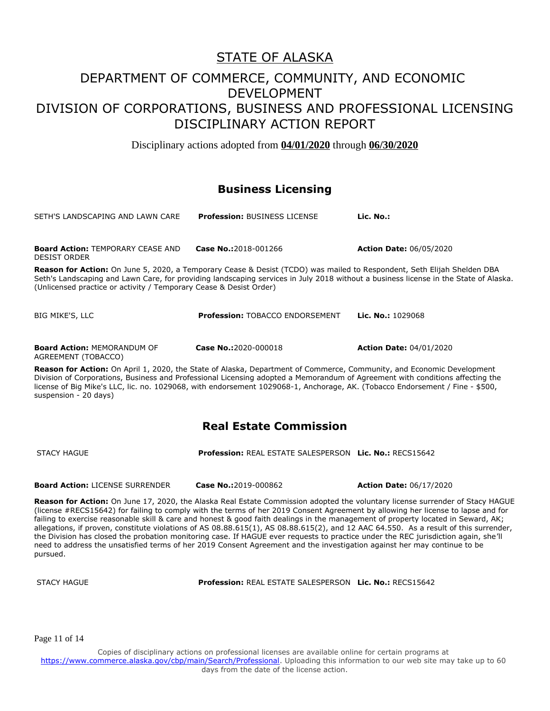# STATE OF ALASKA

### DEPARTMENT OF COMMERCE, COMMUNITY, AND ECONOMIC DEVELOPMENT DIVISION OF CORPORATIONS, BUSINESS AND PROFESSIONAL LICENSING DISCIPLINARY ACTION REPORT

Disciplinary actions adopted from **04/01/2020** through **06/30/2020**

#### **Business Licensing**

| SETH'S LANDSCAPING AND LAWN CARE                                   | <b>Profession: BUSINESS LICENSE</b>                                                                                            | Lic. No.:                                                                                                                            |
|--------------------------------------------------------------------|--------------------------------------------------------------------------------------------------------------------------------|--------------------------------------------------------------------------------------------------------------------------------------|
| <b>Board Action: TEMPORARY CEASE AND</b><br><b>DESIST ORDER</b>    | Case No.:2018-001266                                                                                                           | <b>Action Date: 06/05/2020</b>                                                                                                       |
| (Unlicensed practice or activity / Temporary Cease & Desist Order) | <b>Reason for Action:</b> On June 5, 2020, a Temporary Cease & Desist (TCDO) was mailed to Respondent, Seth Elijah Shelden DBA | Seth's Landscaping and Lawn Care, for providing landscaping services in July 2018 without a business license in the State of Alaska. |
| BIG MIKE'S, LLC                                                    | <b>Profession: TOBACCO ENDORSEMENT</b>                                                                                         | Lic. No.: $1029068$                                                                                                                  |

**Board Action:** MEMORANDUM OF AGREEMENT (TOBACCO)

**Case No.:**2020-000018 **Action Date:** 04/01/2020

**Reason for Action:** On April 1, 2020, the State of Alaska, Department of Commerce, Community, and Economic Development Division of Corporations, Business and Professional Licensing adopted a Memorandum of Agreement with conditions affecting the license of Big Mike's LLC, lic. no. 1029068, with endorsement 1029068-1, Anchorage, AK. (Tobacco Endorsement / Fine - \$500, suspension - 20 days)

### **Real Estate Commission**

STACY HAGUE **Profession:** REAL ESTATE SALESPERSON **Lic. No.:** RECS15642

**Board Action:** LICENSE SURRENDER **Case No.:**2019-000862 **Action Date:** 06/17/2020

**Reason for Action:** On June 17, 2020, the Alaska Real Estate Commission adopted the voluntary license surrender of Stacy HAGUE (license #RECS15642) for failing to comply with the terms of her 2019 Consent Agreement by allowing her license to lapse and for failing to exercise reasonable skill & care and honest & good faith dealings in the management of property located in Seward, AK; allegations, if proven, constitute violations of AS 08.88.615(1), AS 08.88.615(2), and 12 AAC 64.550. As a result of this surrender, the Division has closed the probation monitoring case. If HAGUE ever requests to practice under the REC jurisdiction again, she'll need to address the unsatisfied terms of her 2019 Consent Agreement and the investigation against her may continue to be pursued.

STACY HAGUE **Profession:** REAL ESTATE SALESPERSON **Lic. No.:** RECS15642

Page 11 of 14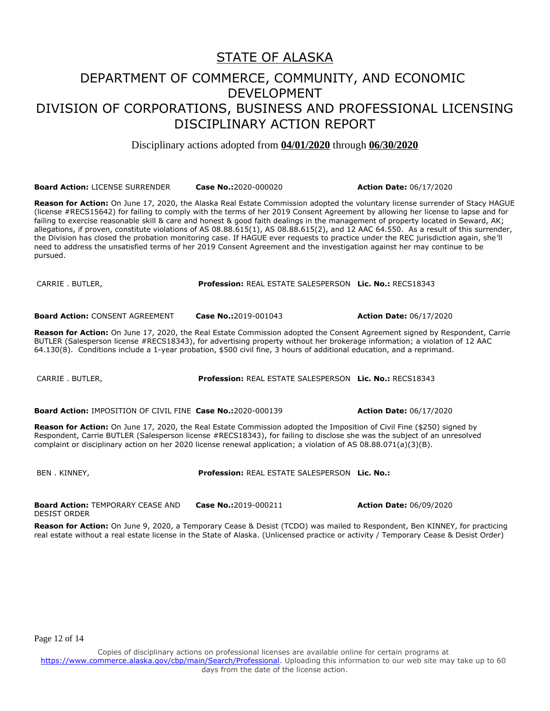#### STATE OF ALASKA

### DEPARTMENT OF COMMERCE, COMMUNITY, AND ECONOMIC DEVELOPMENT DIVISION OF CORPORATIONS, BUSINESS AND PROFESSIONAL LICENSING DISCIPLINARY ACTION REPORT

Disciplinary actions adopted from **04/01/2020** through **06/30/2020**

**Board Action:** LICENSE SURRENDER **Case No.:**2020-000020 **Action Date:** 06/17/2020

**Reason for Action:** On June 17, 2020, the Alaska Real Estate Commission adopted the voluntary license surrender of Stacy HAGUE (license #RECS15642) for failing to comply with the terms of her 2019 Consent Agreement by allowing her license to lapse and for failing to exercise reasonable skill & care and honest & good faith dealings in the management of property located in Seward, AK; allegations, if proven, constitute violations of AS 08.88.615(1), AS 08.88.615(2), and 12 AAC 64.550. As a result of this surrender, the Division has closed the probation monitoring case. If HAGUE ever requests to practice under the REC jurisdiction again, she'll need to address the unsatisfied terms of her 2019 Consent Agreement and the investigation against her may continue to be pursued.

CARRIE . BUTLER, **Profession:** REAL ESTATE SALESPERSON **Lic. No.:** RECS18343

**Board Action:** CONSENT AGREEMENT **Case No.:**2019-001043 **Action Date:** 06/17/2020

64.130(8). Conditions include a 1-year probation, \$500 civil fine, 3 hours of additional education, and a reprimand.

**Reason for Action:** On June 17, 2020, the Real Estate Commission adopted the Consent Agreement signed by Respondent, Carrie BUTLER (Salesperson license #RECS18343), for advertising property without her brokerage information; a violation of 12 AAC

CARRIE . BUTLER, **Profession:** REAL ESTATE SALESPERSON **Lic. No.:** RECS18343

**Board Action:** IMPOSITION OF CIVIL FINE **Case No.:**2020-000139 **Action Date:** 06/17/2020

**Reason for Action:** On June 17, 2020, the Real Estate Commission adopted the Imposition of Civil Fine (\$250) signed by Respondent, Carrie BUTLER (Salesperson license #RECS18343), for failing to disclose she was the subject of an unresolved complaint or disciplinary action on her 2020 license renewal application; a violation of AS 08.88.071(a)(3)(B).

BEN . KINNEY, **Profession:** REAL ESTATE SALESPERSON **Lic. No.:** 

**Board Action:** TEMPORARY CEASE AND DESIST ORDER **Case No.:**2019-000211 **Action Date:** 06/09/2020

**Reason for Action:** On June 9, 2020, a Temporary Cease & Desist (TCDO) was mailed to Respondent, Ben KINNEY, for practicing real estate without a real estate license in the State of Alaska. (Unlicensed practice or activity / Temporary Cease & Desist Order)

Page 12 of 14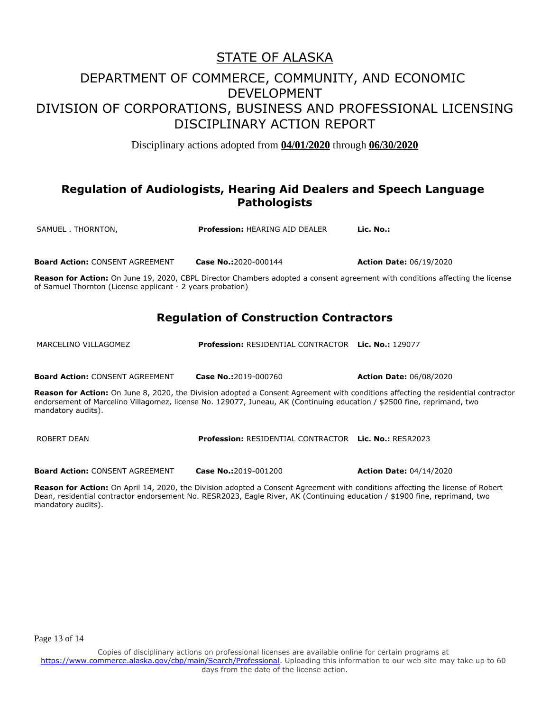# STATE OF ALASKA

### DEPARTMENT OF COMMERCE, COMMUNITY, AND ECONOMIC DEVELOPMENT DIVISION OF CORPORATIONS, BUSINESS AND PROFESSIONAL LICENSING DISCIPLINARY ACTION REPORT

Disciplinary actions adopted from **04/01/2020** through **06/30/2020**

#### **Regulation of Audiologists, Hearing Aid Dealers and Speech Language Pathologists**

SAMUEL . THORNTON, **Profession:** HEARING AID DEALER **Lic. No.:** 

**Board Action:** CONSENT AGREEMENT **Case No.:**2020-000144 **Action Date:** 06/19/2020

**Reason for Action:** On June 19, 2020, CBPL Director Chambers adopted a consent agreement with conditions affecting the license of Samuel Thornton (License applicant - 2 years probation)

#### **Regulation of Construction Contractors**

MARCELINO VILLAGOMEZ **Profession:** RESIDENTIAL CONTRACTOR **Lic. No.:** 129077

**Board Action:** CONSENT AGREEMENT **Case No.:**2019-000760 **Action Date:** 06/08/2020

**Reason for Action:** On June 8, 2020, the Division adopted a Consent Agreement with conditions affecting the residential contractor endorsement of Marcelino Villagomez, license No. 129077, Juneau, AK (Continuing education / \$2500 fine, reprimand, two mandatory audits).

ROBERT DEAN **Profession:** RESIDENTIAL CONTRACTOR **Lic. No.:** RESR2023

**Board Action:** CONSENT AGREEMENT **Case No.:**2019-001200 **Action Date:** 04/14/2020

**Reason for Action:** On April 14, 2020, the Division adopted a Consent Agreement with conditions affecting the license of Robert Dean, residential contractor endorsement No. RESR2023, Eagle River, AK (Continuing education / \$1900 fine, reprimand, two mandatory audits).